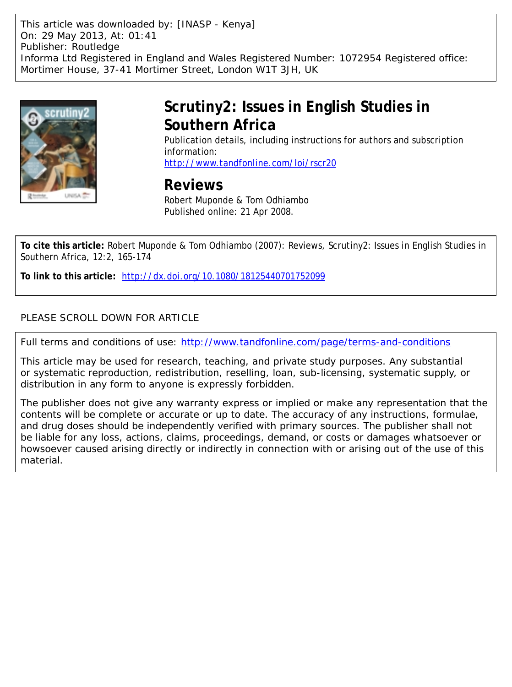This article was downloaded by: [INASP - Kenya] On: 29 May 2013, At: 01:41 Publisher: Routledge Informa Ltd Registered in England and Wales Registered Number: 1072954 Registered office: Mortimer House, 37-41 Mortimer Street, London W1T 3JH, UK



# **Scrutiny2: Issues in English Studies in Southern Africa**

Publication details, including instructions for authors and subscription information:

<http://www.tandfonline.com/loi/rscr20>

# **Reviews**

Robert Muponde & Tom Odhiambo Published online: 21 Apr 2008.

**To cite this article:** Robert Muponde & Tom Odhiambo (2007): Reviews, Scrutiny2: Issues in English Studies in Southern Africa, 12:2, 165-174

**To link to this article:** <http://dx.doi.org/10.1080/18125440701752099>

## PLEASE SCROLL DOWN FOR ARTICLE

Full terms and conditions of use:<http://www.tandfonline.com/page/terms-and-conditions>

This article may be used for research, teaching, and private study purposes. Any substantial or systematic reproduction, redistribution, reselling, loan, sub-licensing, systematic supply, or distribution in any form to anyone is expressly forbidden.

The publisher does not give any warranty express or implied or make any representation that the contents will be complete or accurate or up to date. The accuracy of any instructions, formulae, and drug doses should be independently verified with primary sources. The publisher shall not be liable for any loss, actions, claims, proceedings, demand, or costs or damages whatsoever or howsoever caused arising directly or indirectly in connection with or arising out of the use of this material.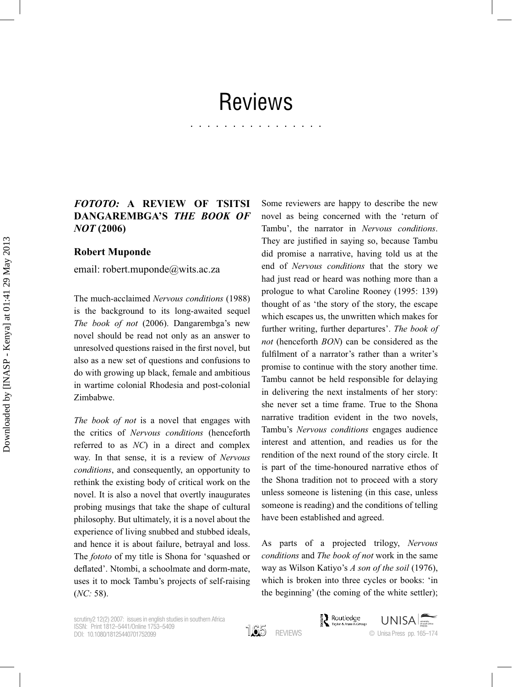# Reviews

................

### *FOTOTO:* **A REVIEW OF TSITSI DANGAREMBGA'S** *THE BOOK OF NOT* **(2006)**

#### **Robert Muponde**

email: robert.muponde@wits.ac.za

The much-acclaimed Nervous conditions (1988) is the background to its long-awaited sequel *The book of not* (2006). Dangarembga's new novel should be read not only as an answer to unresolved questions raised in the first novel, but also as a new set of questions and confusions to do with growing up black, female and ambitious in wartime colonial Rhodesia and post-colonial Zimbabwe.

*The book of not* is a novel that engages with the critics of *Nervous conditions* (henceforth referred to as *NC*) in a direct and complex way. In that sense, it is a review of Nervous *conditions*, and consequently, an opportunity to rethink the existing body of critical work on the novel. It is also a novel that overtly inaugurates probing musings that take the shape of cultural philosophy. But ultimately, it is a novel about the experience of living snubbed and stubbed ideals, and hence it is about failure, betrayal and loss. The *fototo* of my title is Shona for 'squashed or deflated'. Ntombi, a schoolmate and dorm-mate, uses it to mock Tambu's projects of self-raising (*NC:* 

Some reviewers are happy to describe the new novel as being concerned with the 'return of Tambu', the narrator in *Nervous conditions* They are justified in saying so, because Tambu did promise a narrative, having told us at the end of *Nervous conditions* that the story we had just read or heard was nothing more than a prologue to what Caroline Rooney (1995: 139) thought of as 'the story of the story, the escape which escapes us, the unwritten which makes for further writing, further departures'. The book of *not* (henceforth *BON*) can be considered as the fulfilment of a narrator's rather than a writer's promise to continue with the story another time. Tambu cannot be held responsible for delaying in delivering the next instalments of her story: she never set a time frame. True to the Shona narrative tradition evident in the two novels, Tambu's *Nervous conditions* engages audience interest and attention, and readies us for the rendition of the next round of the story circle. It is part of the time-honoured narrative ethos of the Shona tradition not to proceed with a story unless someone is listening (in this case, unless someone is reading) and the conditions of telling have been established and agreed.

As parts of a projected trilogy, *Nervous conditions* and *The book of not* work in the same way as Wilson Katiyo's *A son of the soil*  which is broken into three cycles or books: 'in the beginning' (the coming of the white settler);

scrutiny2 12(2) 2007: issues in english studies in southern Africa ISSN: Print 1812–5441/Online 1753–5409 DOI: 10.1080/18125440701752099

165 REVIEWS

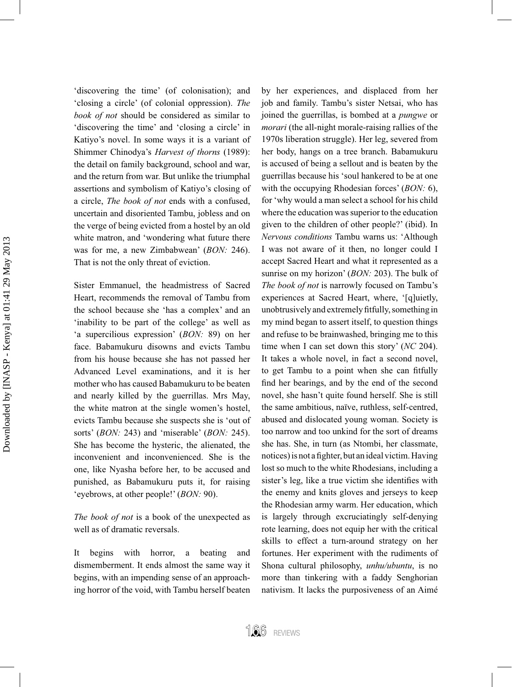Downloaded by [INASP - Kenya] at 01:41 29 May 2013 Downloaded by [INASP - Kenya] at 01:41 29 May 2013

'discovering the time' (of colonisation); and 'closing a circle' (of colonial oppression). The *book of not* should be considered as similar to 'discovering the time' and 'closing a circle' in Katiyo's novel. In some ways it is a variant of Shimmer Chinodya's *Harvest of thorns* the detail on family background, school and war, and the return from war. But unlike the triumphal assertions and symbolism of Katiyo's closing of a circle, *The book of not* ends with a confused, uncertain and disoriented Tambu, jobless and on the verge of being evicted from a hostel by an old white matron, and 'wondering what future there was for me, a new Zimbabwean' (*BON:* That is not the only threat of eviction.

Sister Emmanuel, the headmistress of Sacred Heart, recommends the removal of Tambu from the school because she 'has a complex' and an 'inability to be part of the college' as well as 'a supercilious expression' (*BON*: 89) on her face. Babamukuru disowns and evicts Tambu from his house because she has not passed her Advanced Level examinations, and it is her mother who has caused Babamukuru to be beaten and nearly killed by the guerrillas. Mrs May, the white matron at the single women's hostel, evicts Tambu because she suspects she is 'out of sorts' (*BON*: 243) and 'miserable' (*BON*: 245). She has become the hysteric, the alienated, the inconvenient and inconvenienced. She is the one, like Nyasha before her, to be accused and punished, as Babamukuru puts it, for raising 'eyebrows, at other people!' (*BON*: 90).

*The book of not* is a book of the unexpected as well as of dramatic reversals

It begins with horror, a beating and dismemberment. It ends almost the same way it begins, with an impending sense of an approaching horror of the void, with Tambu herself beaten by her experiences, and displaced from her job and family. Tambu's sister Netsai, who has joined the guerrillas, is bombed at a *pungwe* or *morari* (the all-night morale-raising rallies of the 1970s liberation struggle). Her leg, severed from her body, hangs on a tree branch. Babamukuru is accused of being a sellout and is beaten by the guerrillas because his 'soul hankered to be at one with the occupying Rhodesian forces' (*BON*: 6), for 'why would a man select a school for his child where the education was superior to the education given to the children of other people?' (ibid). In *Nervous conditions* Tambu warns us: 'Although I was not aware of it then, no longer could I accept Sacred Heart and what it represented as a sunrise on my horizon' (*BON*: 203). The bulk of *The book of not* is narrowly focused on Tambu's experiences at Sacred Heart, where, '[q]uietly, unobtrusively and extremely fitfully, something in my mind began to assert itself, to question things and refuse to be brainwashed, bringing me to this time when I can set down this story' (*NC* 204). It takes a whole novel, in fact a second novel, to get Tambu to a point when she can fitfully find her bearings, and by the end of the second novel, she hasn't quite found herself. She is still the same ambitious, naïve, ruthless, self-centred, abused and dislocated young woman. Society is too narrow and too unkind for the sort of dreams she has. She, in turn (as Ntombi, her classmate, notices) is not a fighter, but an ideal victim. Having lost so much to the white Rhodesians, including a sister's leg, like a true victim she identifies with the enemy and knits gloves and jerseys to keep the Rhodesian army warm. Her education, which is largely through excruciatingly self-denying rote learning, does not equip her with the critical skills to effect a turn-around strategy on her fortunes. Her experiment with the rudiments of Shona cultural philosophy, *unhu/ubuntu*, is no more than tinkering with a faddy Senghorian nativism. It lacks the purposiveness of an Aimé

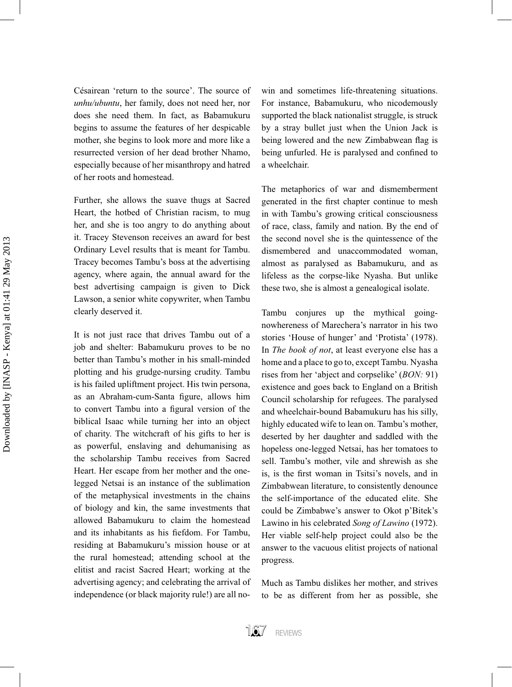Césairean 'return to the source'. The source of *unhu/ubuntu*, her family, does not need her, nor does she need them. In fact, as Babamukuru begins to assume the features of her despicable mother, she begins to look more and more like a resurrected version of her dead brother Nhamo, especially because of her misanthropy and hatred of her roots and homestead.

Further, she allows the suave thugs at Sacred Heart, the hotbed of Christian racism, to mug her, and she is too angry to do anything about it. Tracey Stevenson receives an award for best Ordinary Level results that is meant for Tambu. Tracey becomes Tambu's boss at the advertising agency, where again, the annual award for the best advertising campaign is given to Dick Lawson, a senior white copywriter, when Tambu clearly deserved it.

It is not just race that drives Tambu out of a job and shelter: Babamukuru proves to be no better than Tambu's mother in his small-minded plotting and his grudge-nursing crudity. Tambu is his failed upliftment project. His twin persona, as an Abraham-cum-Santa figure, allows him to convert Tambu into a figural version of the biblical Isaac while turning her into an object of charity. The witchcraft of his gifts to her is as powerful, enslaving and dehumanising as the scholarship Tambu receives from Sacred Heart. Her escape from her mother and the onelegged Netsai is an instance of the sublimation of the metaphysical investments in the chains of biology and kin, the same investments that allowed Babamukuru to claim the homestead and its inhabitants as his fiefdom. For Tambu, residing at Babamukuru's mission house or at the rural homestead; attending school at the elitist and racist Sacred Heart; working at the advertising agency; and celebrating the arrival of independence (or black majority rule!) are all nowin and sometimes life-threatening situations. For instance, Babamukuru, who nicodemously supported the black nationalist struggle, is struck by a stray bullet just when the Union Jack is being lowered and the new Zimbabwean flag is being unfurled. He is paralysed and confined to a wheelchair.

The metaphorics of war and dismemberment generated in the first chapter continue to mesh in with Tambu's growing critical consciousness of race, class, family and nation. By the end of the second novel she is the quintessence of the dismembered and unaccommodated woman, almost as paralysed as Babamukuru, and as lifeless as the corpse-like Nyasha. But unlike these two, she is almost a genealogical isolate.

Tambu conjures up the mythical goingnowhereness of Marechera's narrator in his two stories 'House of hunger' and 'Protista' (1978). In *The book of not*, at least everyone else has a home and a place to go to, except Tambu. Nyasha rises from her 'abject and corpselike' (*BON:* existence and goes back to England on a British Council scholarship for refugees. The paralysed and wheelchair-bound Babamukuru has his silly. highly educated wife to lean on. Tambu's mother, deserted by her daughter and saddled with the hopeless one-legged Netsai, has her tomatoes to sell. Tambu's mother, vile and shrewish as she is, is the first woman in Tsitsi's novels, and in Zimbabwean literature, to consistently denounce the self-importance of the educated elite. She could be Zimbabwe's answer to Okot p'Bitek's Lawino in his celebrated *Song of Lawino* Her viable self-help project could also be the answer to the vacuous elitist projects of national progress.

Much as Tambu dislikes her mother, and strives to be as different from her as possible, she

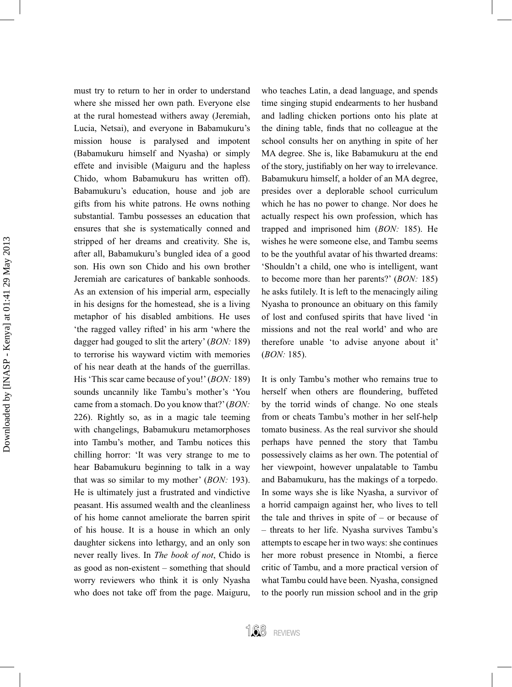must try to return to her in order to understand where she missed her own path. Everyone else at the rural homestead withers away (Jeremiah, Lucia, Netsai), and everyone in Babamukuru's mission house is paralysed and impotent (Babamukuru himself and Nyasha) or simply effete and invisible (Maiguru and the hapless Chido, whom Babamukuru has written off). Babamukuru's education, house and job are gifts from his white patrons. He owns nothing substantial. Tambu possesses an education that ensures that she is systematically conned and stripped of her dreams and creativity. She is, after all, Babamukuru's bungled idea of a good son. His own son Chido and his own brother Jeremiah are caricatures of bankable sonhoods. As an extension of his imperial arm, especially in his designs for the homestead, she is a living metaphor of his disabled ambitions. He uses 'the ragged valley rifted' in his arm 'where the dagger had gouged to slit the artery' (*BON:* to terrorise his wayward victim with memories of his near death at the hands of the guerrillas. His 'This scar came because of you!' (*BON*: 189) sounds uncannily like Tambu's mother's 'You came from a stomach. Do you know that?' *(BON:* 226). Rightly so, as in a magic tale teeming with changelings, Babamukuru metamorphoses into Tambu's mother, and Tambu notices this chilling horror: 'It was very strange to me to hear Babamukuru beginning to talk in a way that was so similar to my mother' (*BON:* He is ultimately just a frustrated and vindictive peasant. His assumed wealth and the cleanliness of his home cannot ameliorate the barren spirit of his house. It is a house in which an only daughter sickens into lethargy, and an only son never really lives. In *The book of not*, Chido is as good as non-existent  $-$  something that should worry reviewers who think it is only Nyasha who does not take off from the page. Maiguru,

who teaches Latin, a dead language, and spends time singing stupid endearments to her husband and ladling chicken portions onto his plate at the dining table, finds that no colleague at the school consults her on anything in spite of her MA degree. She is, like Babamukuru at the end of the story, justifiably on her way to irrelevance. Babamukuru himself, a holder of an MA degree, presides over a deplorable school curriculum which he has no power to change. Nor does he actually respect his own profession, which has trapped and imprisoned him (*BON*: 185). He wishes he were someone else, and Tambu seems to be the youthful avatar of his thwarted dreams: 'Shouldn't a child, one who is intelligent, want to become more than her parents?' (*BON:* he asks futilely. It is left to the menacingly ailing Nyasha to pronounce an obituary on this family of lost and confused spirits that have lived 'in missions and not the real world' and who are therefore unable 'to advise anyone about it' (*BON:* 

It is only Tambu's mother who remains true to herself when others are floundering, buffeted by the torrid winds of change. No one steals from or cheats Tambu's mother in her self-help tomato business. As the real survivor she should perhaps have penned the story that Tambu possessively claims as her own. The potential of her viewpoint, however unpalatable to Tambu and Babamukuru, has the makings of a torpedo. In some ways she is like Nyasha, a survivor of a horrid campaign against her, who lives to tell the tale and thrives in spite of  $-$  or because of - threats to her life. Nyasha survives Tambu's attempts to escape her in two ways: she continues her more robust presence in Ntombi, a fierce critic of Tambu, and a more practical version of what Tambu could have been. Nyasha, consigned to the poorly run mission school and in the grip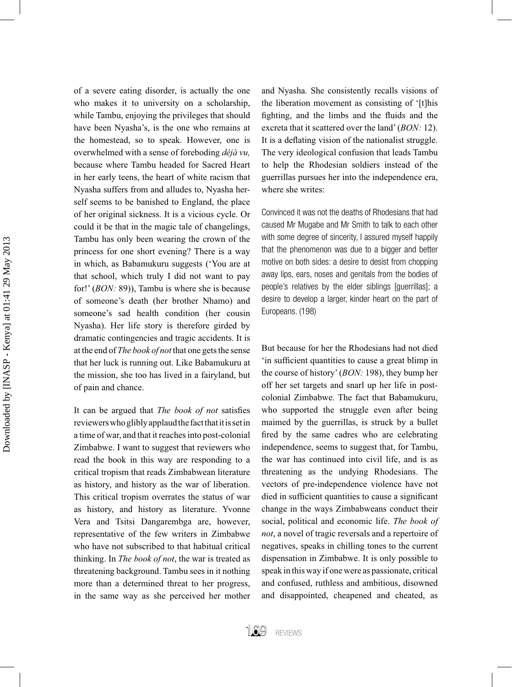of a severe eating disorder, is actually the one who makes it to university on a scholarship, while Tambu, enjoying the privileges that should have been Nyasha's, is the one who remains at the homestead, so to speak. However, one is overwhelmed with a sense of foreboding *déjà vu,*  because where Tambu headed for Sacred Heart in her early teens, the heart of white racism that Nyasha suffers from and alludes to, Nyasha herself seems to be banished to England, the place of her original sickness. It is a vicious cycle. Or could it be that in the magic tale of changelings, Tambu has only been wearing the crown of the princess for one short evening? There is a way in which, as Babamukuru suggests ('You are at that school, which truly I did not want to pay for!' (*BON*: 89)), Tambu is where she is because of someone's death (her brother Nhamo) and someone's sad health condition (her cousin Nyasha). Her life story is therefore girded by dramatic contingencies and tragic accidents. It is at the end of *The book of not* that one gets the sense that her luck is running out. Like Babamukuru at the mission, she too has lived in a fairyland, but of pain and chance.

It can be argued that *The book of not* satisfies reviewers who glibly applaud the fact that it is set in a time of war, and that it reaches into post-colonial Zimbabwe. I want to suggest that reviewers who read the book in this way are responding to a critical tropism that reads Zimbabwean literature as history, and history as the war of liberation. This critical tropism overrates the status of war as history, and history as literature. Yvonne Vera and Tsitsi Dangarembga are, however, representative of the few writers in Zimbabwe who have not subscribed to that habitual critical thinking. In *The book of not*, the war is treated as threatening background. Tambu sees in it nothing more than a determined threat to her progress, in the same way as she perceived her mother

and Nyasha. She consistently recalls visions of the liberation movement as consisting of '[t]his fighting, and the limbs and the fluids and the excreta that it scattered over the land' (*BON:* It is a deflating vision of the nationalist struggle. The very ideological confusion that leads Tambu to help the Rhodesian soldiers instead of the guerrillas pursues her into the independence era, where she writes:

Convinced it was not the deaths of Rhodesians that had caused Mr Mugabe and Mr Smith to talk to each other with some degree of sincerity, I assured myself happily that the phenomenon was due to a bigger and better motive on both sides: a desire to desist from chopping away lips, ears, noses and genitals from the bodies of people's relatives by the elder siblings [guerrillas]; a desire to develop a larger, kinder heart on the part of Europeans. (198)

But because for her the Rhodesians had not died in sufficient quantities to cause a great blimp in the course of history' (*BON*: 198), they bump her off her set targets and snarl up her life in postcolonial Zimbabwe. The fact that Babamukuru, who supported the struggle even after being maimed by the guerrillas, is struck by a bullet fired by the same cadres who are celebrating independence, seems to suggest that, for Tambu, the war has continued into civil life, and is as threatening as the undying Rhodesians. The vectors of pre-independence violence have not died in sufficient quantities to cause a significant change in the ways Zimbabweans conduct their social, political and economic life. The book of *not*, a novel of tragic reversals and a repertoire of negatives, speaks in chilling tones to the current dispensation in Zimbabwe. It is only possible to speak in this way if one were as passionate, critical and confused, ruthless and ambitious, disowned and disappointed, cheapened and cheated, as

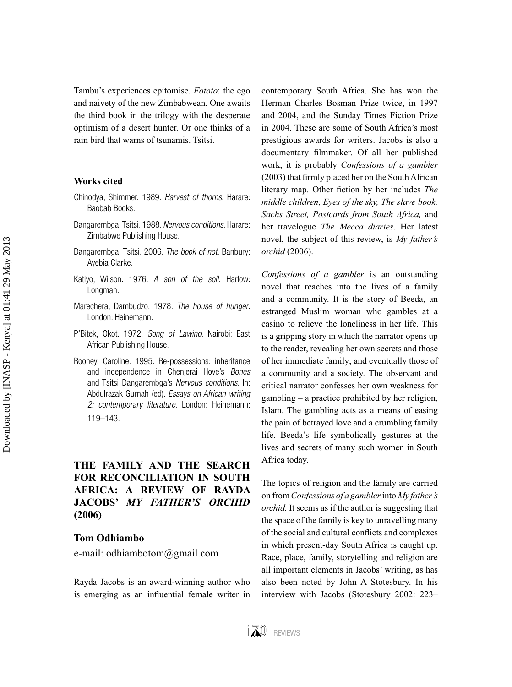Tambu's experiences epitomise. Fototo: the ego and naivety of the new Zimbabwean. One awaits the third book in the trilogy with the desperate optimism of a desert hunter. Or one thinks of a rain bird that warns of tsunamis. Tsitsi.

#### **Works cited**

- Chinodya, Shimmer. 1989. Harvest of thorns. Harare: Baobab Books.
- Dangarembga, Tsitsi. 1988. Nervous conditions. Harare: Zimbabwe Publishing House.
- Dangarembga, Tsitsi. 2006. The book of not. Banbury: Ayebia Clarke.
- Katiyo, Wilson. 1976. A son of the soil. Harlow: Longman.
- Marechera, Dambudzo. 1978. The house of hunger. London: Heinemann.
- P'Bitek, Okot. 1972. Song of Lawino. Nairobi: East African Publishing House.
- Rooney, Caroline. 1995. Re-possessions: inheritance and independence in Chenjerai Hove's Bones and Tsitsi Dangarembga's Nervous conditions. In: Abdulrazak Gurnah (ed). Essays on African writing 2: contemporary literature. London: Heinemann: 119–143.

## **THE FAMILY AND THE SEARCH FOR RECONCILIATION IN SOUTH AFRICA: A REVIEW OF RAYDA JACOBS'** *MY FATHER'S ORCHID* **(2006)**

#### **Tom Odhiambo**

e-mail: odhiambotom@gmail.com

Rayda Jacobs is an award-winning author who is emerging as an influential female writer in contemporary South Africa. She has won the Herman Charles Bosman Prize twice, in 1997 and 2004, and the Sunday Times Fiction Prize in 2004. These are some of South Africa's most prestigious awards for writers. Jacobs is also a documentary filmmaker. Of all her published work, it is probably *Confessions of a gambler*  $(2003)$  that firmly placed her on the South African literary map. Other fiction by her includes *The middle children*, *Eyes of the sky, The slave book, Sachs Street, Postcards from South Africa,* and her travelogue *The Mecca diaries*. Her latest novel, the subject of this review, is *My father's orchid* 

*Confessions of a gambler* is an outstanding novel that reaches into the lives of a family and a community. It is the story of Beeda, an estranged Muslim woman who gambles at a casino to relieve the loneliness in her life. This is a gripping story in which the narrator opens up to the reader, revealing her own secrets and those of her immediate family; and eventually those of a community and a society. The observant and critical narrator confesses her own weakness for gambling  $-$  a practice prohibited by her religion. Islam. The gambling acts as a means of easing the pain of betrayed love and a crumbling family life. Beeda's life symbolically gestures at the lives and secrets of many such women in South Africa today.

The topics of religion and the family are carried on from *Confessions of a gambler* into *My father's orchid.* It seems as if the author is suggesting that the space of the family is key to unravelling many of the social and cultural conflicts and complexes in which present-day South Africa is caught up. Race, place, family, storytelling and religion are all important elements in Jacobs' writing, as has also been noted by John A Stotesbury. In his interview with Jacobs (Stotesbury 2002: 223-

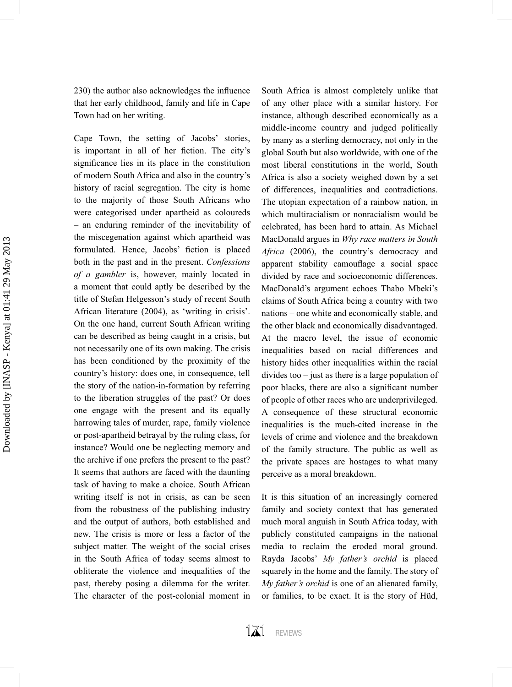230) the author also acknowledges the influence that her early childhood, family and life in Cape Town had on her writing.

Cape Town, the setting of Jacobs' stories, is important in all of her fiction. The city's significance lies in its place in the constitution of modern South Africa and also in the country's history of racial segregation. The city is home to the majority of those South Africans who were categorised under apartheid as coloureds  $-$  an enduring reminder of the inevitability of the miscegenation against which apartheid was formulated. Hence, Jacobs' fiction is placed both in the past and in the present. Confessions *of a gambler* is, however, mainly located in a moment that could aptly be described by the title of Stefan Helgesson's study of recent South African literature (2004), as 'writing in crisis'. On the one hand, current South African writing can be described as being caught in a crisis, but not necessarily one of its own making. The crisis has been conditioned by the proximity of the country's history: does one, in consequence, tell the story of the nation-in-formation by referring to the liberation struggles of the past? Or does one engage with the present and its equally harrowing tales of murder, rape, family violence or post-apartheid betrayal by the ruling class, for instance? Would one be neglecting memory and the archive if one prefers the present to the past? It seems that authors are faced with the daunting task of having to make a choice. South African writing itself is not in crisis, as can be seen from the robustness of the publishing industry and the output of authors, both established and new. The crisis is more or less a factor of the subject matter. The weight of the social crises in the South Africa of today seems almost to obliterate the violence and inequalities of the past, thereby posing a dilemma for the writer. The character of the post-colonial moment in

South Africa is almost completely unlike that of any other place with a similar history. For instance, although described economically as a middle-income country and judged politically by many as a sterling democracy, not only in the global South but also worldwide, with one of the most liberal constitutions in the world, South Africa is also a society weighed down by a set of differences, inequalities and contradictions. The utopian expectation of a rainbow nation, in which multiracialism or nonracialism would be celebrated, has been hard to attain. As Michael MacDonald argues in *Why race matters in South*  Africa (2006), the country's democracy and apparent stability camouflage a social space divided by race and socioeconomic differences. MacDonald's argument echoes Thabo Mbeki's claims of South Africa being a country with two nations – one white and economically stable, and the other black and economically disadvantaged. At the macro level, the issue of economic inequalities based on racial differences and history hides other inequalities within the racial divides too  $-$  just as there is a large population of poor blacks, there are also a significant number of people of other races who are underprivileged. A consequence of these structural economic inequalities is the much-cited increase in the levels of crime and violence and the breakdown of the family structure. The public as well as the private spaces are hostages to what many perceive as a moral breakdown.

It is this situation of an increasingly cornered family and society context that has generated much moral anguish in South Africa today, with publicly constituted campaigns in the national media to reclaim the eroded moral ground. Rayda Jacobs' *My father's orchid* is placed squarely in the home and the family. The story of *My father's orchid* is one of an alienated family, or families, to be exact. It is the story of Hüd.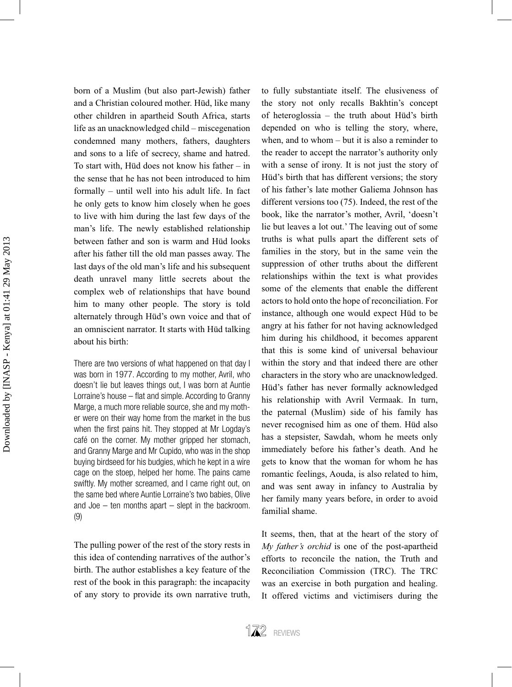born of a Muslim (but also part-Jewish) father and a Christian coloured mother. Hüd, like many other children in apartheid South Africa, starts life as an unacknowledged child  $-$  miscegenation condemned many mothers, fathers, daughters and sons to a life of secrecy, shame and hatred. To start with, Hüd does not know his father  $-$  in the sense that he has not been introduced to him  $formally - until well into his adult life. In fact$ he only gets to know him closely when he goes to live with him during the last few days of the man's life. The newly established relationship between father and son is warm and Hüd looks after his father till the old man passes away. The last days of the old man's life and his subsequent death unravel many little secrets about the complex web of relationships that have bound him to many other people. The story is told alternately through Hüd's own voice and that of an omniscient narrator. It starts with Hüd talking about his birth

There are two versions of what happened on that day I was born in 1977. According to my mother, Avril, who doesn't lie but leaves things out, I was born at Auntie Lorraine's house – flat and simple. According to Granny Marge, a much more reliable source, she and my mother were on their way home from the market in the bus when the first pains hit. They stopped at Mr Logday's café on the corner. My mother gripped her stomach, and Granny Marge and Mr Cupido, who was in the shop buying birdseed for his budgies, which he kept in a wire cage on the stoep, helped her home. The pains came swiftly. My mother screamed, and I came right out, on the same bed where Auntie Lorraine's two babies, Olive and Joe  $-$  ten months apart  $-$  slept in the backroom. (9)

The pulling power of the rest of the story rests in this idea of contending narratives of the author's birth. The author establishes a key feature of the rest of the book in this paragraph: the incapacity of any story to provide its own narrative truth,

to fully substantiate itself. The elusiveness of the story not only recalls Bakhtin's concept of heteroglossia  $-$  the truth about Hüd's birth depended on who is telling the story, where, when, and to whom  $-$  but it is also a reminder to the reader to accept the narrator's authority only with a sense of irony. It is not just the story of Hüd's birth that has different versions; the story of his father's late mother Galiema Johnson has different versions too  $(75)$ . Indeed, the rest of the book, like the narrator's mother, Avril, 'doesn't lie but leaves a lot out.' The leaving out of some truths is what pulls apart the different sets of families in the story, but in the same vein the suppression of other truths about the different relationships within the text is what provides some of the elements that enable the different actors to hold onto the hope of reconciliation. For instance, although one would expect Hüd to be angry at his father for not having acknowledged him during his childhood, it becomes apparent that this is some kind of universal behaviour within the story and that indeed there are other characters in the story who are unacknowledged. Hüd's father has never formally acknowledged his relationship with Avril Vermaak. In turn, the paternal (Muslim) side of his family has never recognised him as one of them. Hüd also has a stepsister, Sawdah, whom he meets only immediately before his father's death. And he gets to know that the woman for whom he has romantic feelings, Aouda, is also related to him, and was sent away in infancy to Australia by her family many years before, in order to avoid familial shame.

It seems, then, that at the heart of the story of *My father's orchid* is one of the post-apartheid efforts to reconcile the nation, the Truth and Reconciliation Commission (TRC). The TRC was an exercise in both purgation and healing. It offered victims and victimisers during the

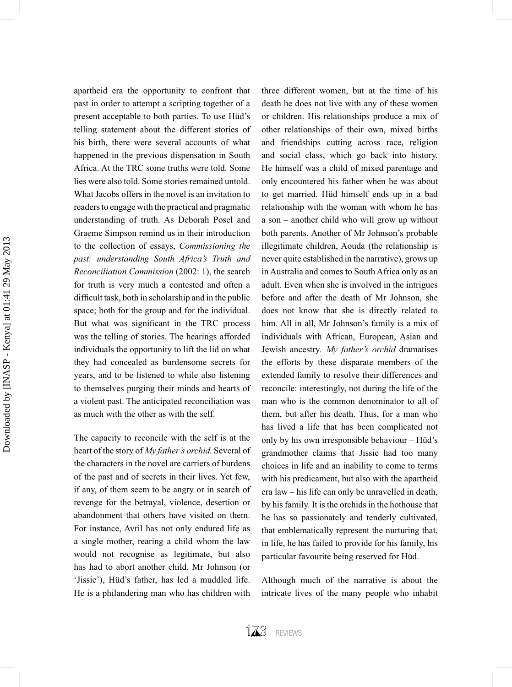apartheid era the opportunity to confront that past in order to attempt a scripting together of a present acceptable to both parties. To use Hüd's telling statement about the different stories of his birth, there were several accounts of what happened in the previous dispensation in South Africa. At the TRC some truths were told. Some lies were also told. Some stories remained untold. What Jacobs offers in the novel is an invitation to readers to engage with the practical and pragmatic understanding of truth. As Deborah Posel and Graeme Simpson remind us in their introduction to the collection of essays, *Commissioning the past: understanding South Africa's Truth and Reconciliation Commission* (2002: 1), the search for truth is very much a contested and often a difficult task, both in scholarship and in the public space; both for the group and for the individual. But what was significant in the TRC process was the telling of stories. The hearings afforded individuals the opportunity to lift the lid on what they had concealed as burdensome secrets for years, and to be listened to while also listening to themselves purging their minds and hearts of a violent past. The anticipated reconciliation was as much with the other as with the self.

The capacity to reconcile with the self is at the heart of the story of *My father's orchid.* Several of the characters in the novel are carriers of burdens of the past and of secrets in their lives. Yet few, if any, of them seem to be angry or in search of revenge for the betrayal, violence, desertion or abandonment that others have visited on them. For instance, Avril has not only endured life as a single mother, rearing a child whom the law would not recognise as legitimate, but also has had to abort another child. Mr Johnson (or 'Jissie'), Hüd's father, has led a muddled life. He is a philandering man who has children with

three different women, but at the time of his death he does not live with any of these women or children. His relationships produce a mix of other relationships of their own, mixed births and friendships cutting across race, religion and social class, which go back into history. He himself was a child of mixed parentage and only encountered his father when he was about to get married. Hüd himself ends up in a bad relationship with the woman with whom he has a son – another child who will grow up without both parents. Another of Mr Johnson's probable illegitimate children, Aouda (the relationship is never quite established in the narrative), grows up in Australia and comes to South Africa only as an adult. Even when she is involved in the intrigues before and after the death of Mr Johnson, she does not know that she is directly related to him. All in all, Mr Johnson's family is a mix of individuals with African, European, Asian and Jewish ancestry*. My father's orchid* dramatises the efforts by these disparate members of the extended family to resolve their differences and reconcile: interestingly, not during the life of the man who is the common denominator to all of them, but after his death. Thus, for a man who has lived a life that has been complicated not only by his own irresponsible behaviour  $-$  Hüd's grandmother claims that Jissie had too many choices in life and an inability to come to terms with his predicament, but also with the apartheid era law  $-$  his life can only be unravelled in death. by his family. It is the orchids in the hothouse that he has so passionately and tenderly cultivated, that emblematically represent the nurturing that, in life, he has failed to provide for his family, his particular favourite being reserved for Hüd

Although much of the narrative is about the intricate lives of the many people who inhabit